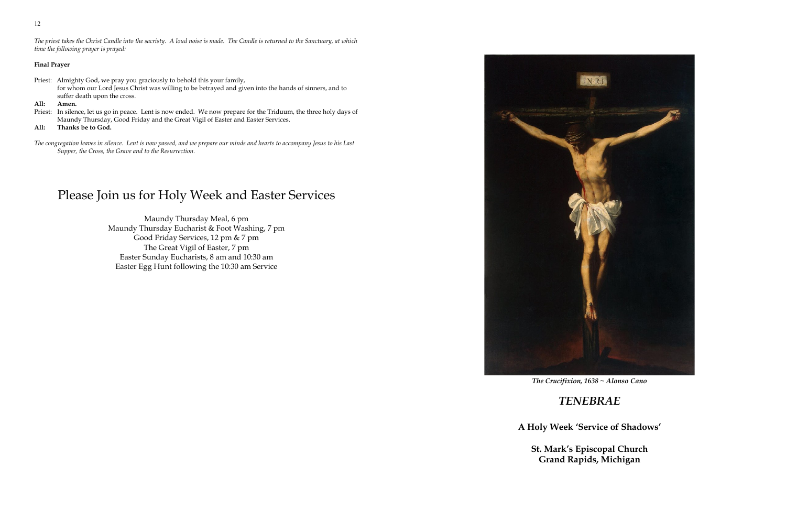*The priest takes the Christ Candle into the sacristy. A loud noise is made. The Candle is returned to the Sanctuary, at which time the following prayer is prayed:*

## **Final Prayer**

Priest: Almighty God, we pray you graciously to behold this your family, for whom our Lord Jesus Christ was willing to be betrayed and given into the hands of sinners, and to suffer death upon the cross.

**All: Amen.**

- Priest: In silence, let us go in peace. Lent is now ended. We now prepare for the Triduum, the three holy days of Maundy Thursday, Good Friday and the Great Vigil of Easter and Easter Services.
- **All: Thanks be to God.**

*The congregation leaves in silence. Lent is now passed, and we prepare our minds and hearts to accompany Jesus to his Last Supper, the Cross, the Grave and to the Resurrection.*

# Please Join us for Holy Week and Easter Services

Maundy Thursday Meal, 6 pm Maundy Thursday Eucharist & Foot Washing, 7 pm Good Friday Services, 12 pm & 7 pm The Great Vigil of Easter, 7 pm Easter Sunday Eucharists, 8 am and 10:30 am Easter Egg Hunt following the 10:30 am Service



*The Crucifixion, 1638 ~ Alonso Cano*

# *TENEBRAE*

**A Holy Week 'Service of Shadows'**

**St. Mark's Episcopal Church Grand Rapids, Michigan**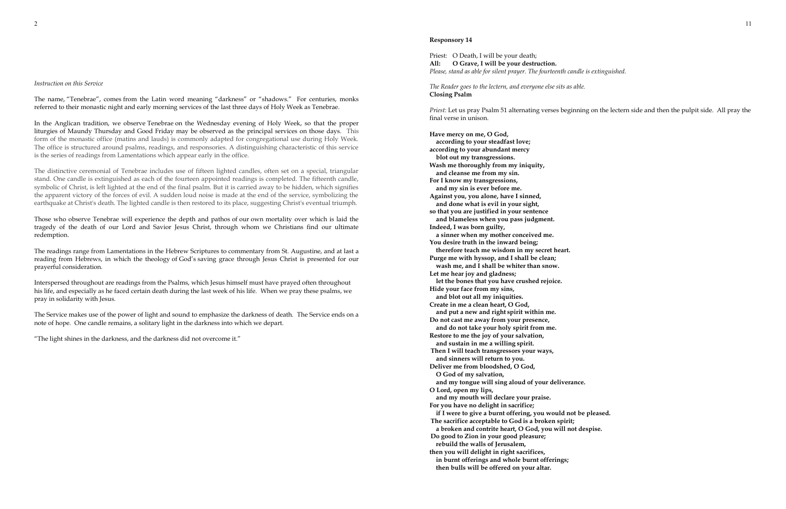#### *Instruction on this Service*

The name, "Tenebrae", comes from the Latin word meaning "darkness" or "shadows." For centuries, monks referred to their monastic night and early morning services of the last three days of Holy Week as Tenebrae.

In the Anglican tradition, we observe Tenebrae on the Wednesday evening of Holy Week, so that the proper liturgies of Maundy Thursday and Good Friday may be observed as the principal services on those days. This form of the monastic office (matins and lauds) is commonly adapted for congregational use during Holy Week. The office is structured around psalms, readings, and responsories. A distinguishing characteristic of this service is the series of readings from Lamentations which appear early in the office.

The distinctive ceremonial of Tenebrae includes use of fifteen lighted candles, often set on a special, triangular stand. One candle is extinguished as each of the fourteen appointed readings is completed. The fifteenth candle, symbolic of Christ, is left lighted at the end of the final psalm. But it is carried away to be hidden, which signifies the apparent victory of the forces of evil. A sudden loud noise is made at the end of the service, symbolizing the earthquake at Christ's death. The lighted candle is then restored to its place, suggesting Christ's eventual triumph.

Those who observe Tenebrae will experience the depth and pathos of our own mortality over which is laid the tragedy of the death of our Lord and Savior Jesus Christ, through whom we Christians find our ultimate redemption.

The readings range from Lamentations in the Hebrew Scriptures to commentary from St. Augustine, and at last a reading from Hebrews, in which the theology of God's saving grace through Jesus Christ is presented for our prayerful consideration.

Interspersed throughout are readings from the Psalms, which Jesus himself must have prayed often throughout his life, and especially as he faced certain death during the last week of his life. When we pray these psalms, we pray in solidarity with Jesus.

The Service makes use of the power of light and sound to emphasize the darkness of death. The Service ends on a note of hope. One candle remains, a solitary light in the darkness into which we depart.

"The light shines in the darkness, and the darkness did not overcome it."

## **Responsory 14**

Priest: O Death, I will be your death; **All: O Grave, I will be your destruction.** *Please, stand as able for silent prayer. The fourteenth candle is extinguished.*

*The Reader goes to the lectern, and everyone else sits as able.* **Closing Psalm**

*Priest:* Let us pray Psalm 51 alternating verses beginning on the lectern side and then the pulpit side. All pray the final verse in unison.

**Have mercy on me, O God, according to your steadfast love; according to your abundant mercy blot out my transgressions. Wash me thoroughly from my iniquity, and cleanse me from my sin. For I know my transgressions, and my sin is ever before me. Against you, you alone, have I sinned, and done what is evil in your sight, so that you are justified in your sentence and blameless when you pass judgment. Indeed, I was born guilty, a sinner when my mother conceived me. You desire truth in the inward being; therefore teach me wisdom in my secret heart. Purge me with hyssop, and I shall be clean; wash me, and I shall be whiter than snow. Let me hear joy and gladness; let the bones that you have crushed rejoice. Hide your face from my sins, and blot out all my iniquities. Create in me a clean heart, O God, and put a new and right spirit within me. Do not cast me away from your presence, and do not take your holy spirit from me. Restore to me the joy of your salvation, and sustain in me a willing spirit. Then I will teach transgressors your ways, and sinners will return to you. Deliver me from bloodshed, O God, O God of my salvation, and my tongue will sing aloud of your deliverance. O Lord, open my lips, and my mouth will declare your praise. For you have no delight in sacrifice; if I were to give a burnt offering, you would not be pleased. The sacrifice acceptable to God is a broken spirit; a broken and contrite heart, O God, you will not despise. Do good to Zion in your good pleasure; rebuild the walls of Jerusalem, then you will delight in right sacrifices, in burnt offerings and whole burnt offerings; then bulls will be offered on your altar.**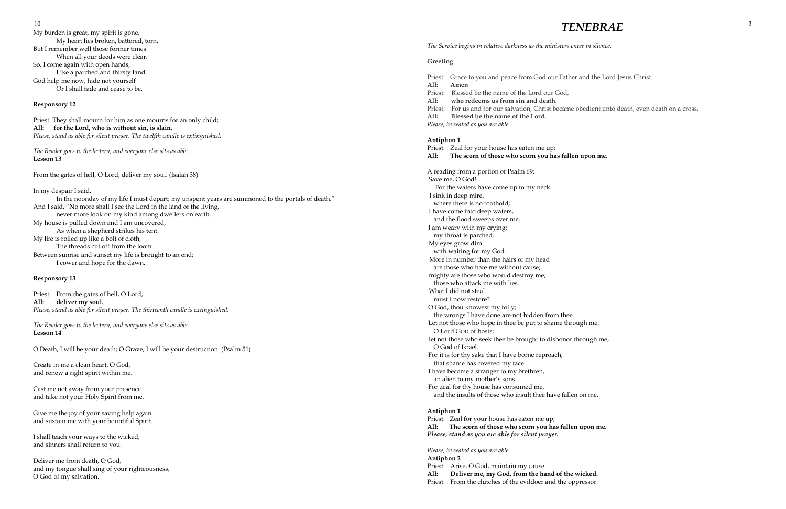10

My burden is great, my spirit is gone, My heart lies broken, battered, torn. But I remember well those former times When all your deeds were clear. So, I come again with open hands, Like a parched and thirsty land. God help me now, hide not yourself Or I shall fade and cease to be.

# **Responsory 12**

Priest: They shall mourn for him as one mourns for an only child; **All: for the Lord, who is without sin, is slain.**  *Please, stand as able for silent prayer. The twelfth candle is extinguished.*

*The Reader goes to the lectern, and everyone else sits as able.* **Lesson 13** 

From the gates of hell, O Lord, deliver my soul. (Isaiah 38)

In my despair I said,

In the noonday of my life I must depart; my unspent years are summoned to the portals of death." And I said, "No more shall I see the Lord in the land of the living, never more look on my kind among dwellers on earth. My house is pulled down and I am uncovered, As when a shepherd strikes his tent. My life is rolled up like a bolt of cloth, The threads cut off from the loom. Between sunrise and sunset my life is brought to an end; I cower and hope for the dawn.

# **Responsory 13**

Priest: From the gates of hell, O Lord, **All: deliver my soul.** *Please, stand as able for silent prayer. The thirteenth candle is extinguished.*

*The Reader goes to the lectern, and everyone else sits as able.* **Lesson 14** 

O Death, I will be your death; O Grave, I will be your destruction. (Psalm 51)

Create in me a clean heart, O God, and renew a right spirit within me.

Cast me not away from your presence and take not your Holy Spirit from me.

Give me the joy of your saving help again and sustain me with your bountiful Spirit.

I shall teach your ways to the wicked, and sinners shall return to you.

Deliver me from death, O God, and my tongue shall sing of your righteousness, O God of my salvation.

# <sup>3</sup> *TENEBRAE*

*The Service begins in relative darkness as the ministers enter in silence.*

## **Greeting**

Priest: Grace to you and peace from God our Father and the Lord Jesus Christ. **All: Amen** Priest: Blessed be the name of the Lord our God, **All: who redeems us from sin and death.** Priest: For us and for our salvation, Christ became obedient unto death, even death on a cross. **All: Blessed be the name of the Lord.** *Please, be seated as you are able*

## **Antiphon 1**

Priest: Zeal for your house has eaten me up; **All: The scorn of those who scorn you has fallen upon me.** A reading from a portion of Psalm 69: Save me, O God! For the waters have come up to my neck. I sink in deep mire, where there is no foothold; I have come into deep waters, and the flood sweeps over me. I am weary with my crying; my throat is parched. My eyes grow dim with waiting for my God. More in number than the hairs of my head are those who hate me without cause; mighty are those who would destroy me, those who attack me with lies. What I did not steal must I now restore? O God, thou knowest my folly; the wrongs I have done are not hidden from thee. Let not those who hope in thee be put to shame through me, O Lord GOD of hosts; let not those who seek thee be brought to dishonor through me, O God of Israel. For it is for thy sake that I have borne reproach, that shame has covered my face. I have become a stranger to my brethren, an alien to my mother's sons. For zeal for thy house has consumed me, and the insults of those who insult thee have fallen on me.

## **Antiphon 1**

Priest: Zeal for your house has eaten me up; **All: The scorn of those who scorn you has fallen upon me.** *Please, stand as you are able for silent prayer.*

*Please, be seated as you are able.*

**Antiphon 2** Priest: Arise, O God, maintain my cause. **All: Deliver me, my God, from the hand of the wicked.** Priest: From the clutches of the evildoer and the oppressor.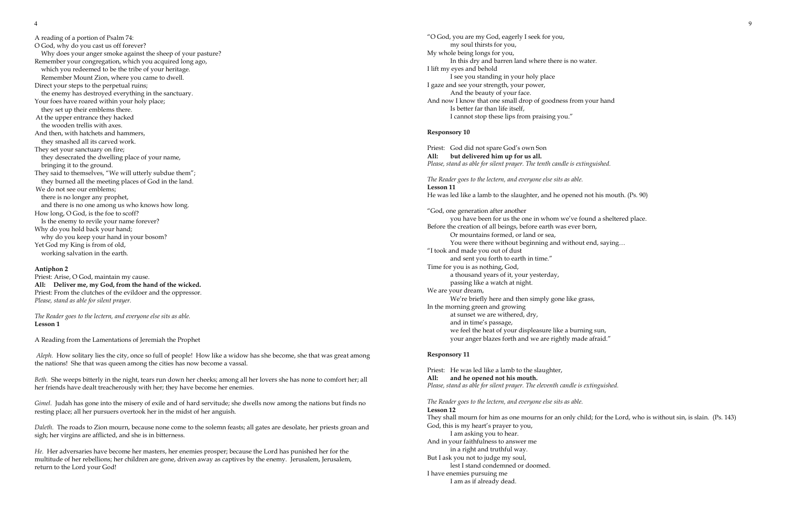4

A reading of a portion of Psalm 74: O God, why do you cast us off forever? Why does your anger smoke against the sheep of your pasture? Remember your congregation, which you acquired long ago, which you redeemed to be the tribe of your heritage. Remember Mount Zion, where you came to dwell. Direct your steps to the perpetual ruins; the enemy has destroyed everything in the sanctuary. Your foes have roared within your holy place; they set up their emblems there. At the upper entrance they hacked the wooden trellis with axes. And then, with hatchets and hammers, they smashed all its carved work. They set your sanctuary on fire; they desecrated the dwelling place of your name, bringing it to the ground. They said to themselves, "We will utterly subdue them"; they burned all the meeting places of God in the land. We do not see our emblems; there is no longer any prophet, and there is no one among us who knows how long. How long, O God, is the foe to scoff? Is the enemy to revile your name forever? Why do you hold back your hand; why do you keep your hand in your bosom? Yet God my King is from of old, working salvation in the earth.

# **Antiphon 2**

Priest: Arise, O God, maintain my cause. **All: Deliver me, my God, from the hand of the wicked.** Priest: From the clutches of the evildoer and the oppressor. *Please, stand as able for silent prayer.*

*The Reader goes to the lectern, and everyone else sits as able.* **Lesson 1**

A Reading from the Lamentations of Jeremiah the Prophet

*Aleph.* How solitary lies the city, once so full of people! How like a widow has she become, she that was great among the nations! She that was queen among the cities has now become a vassal.

*Beth.* She weeps bitterly in the night, tears run down her cheeks; among all her lovers she has none to comfort her; all her friends have dealt treacherously with her; they have become her enemies.

*Gimel.* Judah has gone into the misery of exile and of hard servitude; she dwells now among the nations but finds no resting place; all her pursuers overtook her in the midst of her anguish.

*Daleth.* The roads to Zion mourn, because none come to the solemn feasts; all gates are desolate, her priests groan and sigh; her virgins are afflicted, and she is in bitterness.

*He.* Her adversaries have become her masters, her enemies prosper; because the Lord has punished her for the multitude of her rebellions; her children are gone, driven away as captives by the enemy. Jerusalem, Jerusalem, return to the Lord your God!

"O God, you are my God, eagerly I seek for you, my soul thirsts for you, My whole being longs for you, In this dry and barren land where there is no water. I lift my eyes and behold I see you standing in your holy place I gaze and see your strength, your power, And the beauty of your face. And now I know that one small drop of goodness from your hand Is better far than life itself, I cannot stop these lips from praising you."

#### **Responsory 10**

Priest: God did not spare God's own Son **All: but delivered him up for us all.**  *Please, stand as able for silent prayer. The tenth candle is extinguished. The Reader goes to the lectern, and everyone else sits as able.* **Lesson 11** He was led like a lamb to the slaughter, and he opened not his mouth. (Ps. 90) "God, one generation after another you have been for us the one in whom we've found a sheltered place. Before the creation of all beings, before earth was ever born, Or mountains formed, or land or sea, You were there without beginning and without end, saying... "I took and made you out of dust and sent you forth to earth in time." Time for you is as nothing, God, a thousand years of it, your yesterday, passing like a watch at night. We are your dream, We're briefly here and then simply gone like grass, In the morning green and growing at sunset we are withered, dry, and in time's passage, we feel the heat of your displeasure like a burning sun, your anger blazes forth and we are rightly made afraid."

## **Responsory 11**

Priest: He was led like a lamb to the slaughter, **All: and he opened not his mouth.** *Please, stand as able for silent prayer. The eleventh candle is extinguished. The Reader goes to the lectern, and everyone else sits as able.* **Lesson 12** They shall mourn for him as one mourns for an only child; for the Lord, who is without sin, is slain. (Ps. 143) God, this is my heart's prayer to you, I am asking you to hear. And in your faithfulness to answer me in a right and truthful way. But I ask you not to judge my soul, lest I stand condemned or doomed. I have enemies pursuing me I am as if already dead.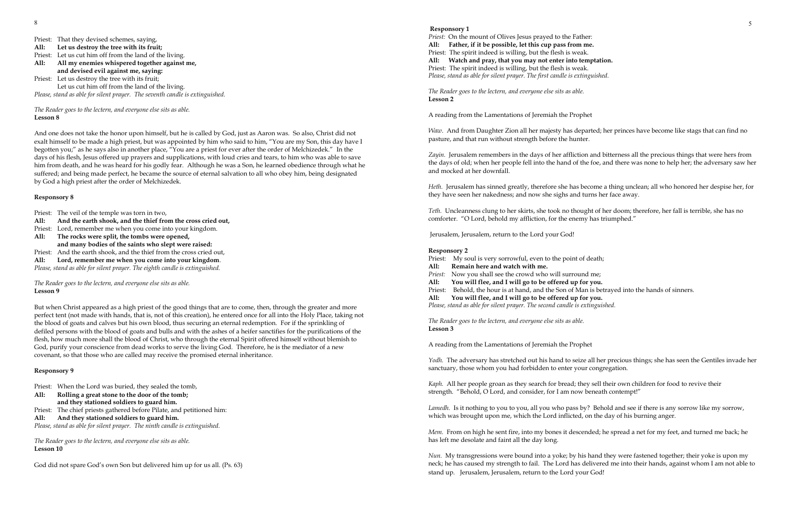- Priest: That they devised schemes, saying,
- **All: Let us destroy the tree with its fruit;**
- Priest: Let us cut him off from the land of the living.
- **All: All my enemies whispered together against me, and devised evil against me, saying:**
- Priest: Let us destroy the tree with its fruit;

Let us cut him off from the land of the living.

*Please, stand as able for silent prayer. The seventh candle is extinguished.*

*The Reader goes to the lectern, and everyone else sits as able.* **Lesson 8**

And one does not take the honor upon himself, but he is called by God, just as Aaron was. So also, Christ did not exalt himself to be made a high priest, but was appointed by him who said to him, "You are my Son, this day have I begotten you;" as he says also in another place, "You are a priest for ever after the order of Melchizedek." In the days of his flesh, Jesus offered up prayers and supplications, with loud cries and tears, to him who was able to save him from death, and he was heard for his godly fear. Although he was a Son, he learned obedience through what he suffered; and being made perfect, he became the source of eternal salvation to all who obey him, being designated by God a high priest after the order of Melchizedek.

## **Responsory 8**

- Priest: The veil of the temple was torn in two,
- **All: And the earth shook, and the thief from the cross cried out,**
- Priest: Lord, remember me when you come into your kingdom.
- **All: The rocks were split, the tombs were opened,**

 **and many bodies of the saints who slept were raised:**

Priest: And the earth shook, and the thief from the cross cried out,

**All: Lord, remember me when you come into your kingdom**.

*Please, stand as able for silent prayer. The eighth candle is extinguished.*

*Priest:* On the mount of Olives Jesus prayed to the Father: **All: Father, if it be possible, let this cup pass from me.** Priest: The spirit indeed is willing, but the flesh is weak. **All: Watch and pray, that you may not enter into temptation.** Priest: The spirit indeed is willing, but the flesh is weak. *Please, stand as able for silent prayer. The first candle is extinguished.*

*The Reader goes to the lectern, and everyone else sits as able.* **Lesson 9**

But when Christ appeared as a high priest of the good things that are to come, then, through the greater and more perfect tent (not made with hands, that is, not of this creation), he entered once for all into the Holy Place, taking not the blood of goats and calves but his own blood, thus securing an eternal redemption. For if the sprinkling of defiled persons with the blood of goats and bulls and with the ashes of a heifer sanctifies for the purifications of the flesh, how much more shall the blood of Christ, who through the eternal Spirit offered himself without blemish to God, purify your conscience from dead works to serve the living God. Therefore, he is the mediator of a new covenant, so that those who are called may receive the promised eternal inheritance.

Priest: My soul is very sorrowful, even to the point of death; **All: Remain here and watch with me.**

*Priest:* Now you shall see the crowd who will surround me; **All: You will flee, and I will go to be offered up for you.** Priest: Behold, the hour is at hand, and the Son of Man is betrayed into the hands of sinners. **All: You will flee, and I will go to be offered up for you.**  *Please, stand as able for silent prayer. The second candle is extinguished.*

### **Responsory 9**

Priest: When the Lord was buried, they sealed the tomb, **All: Rolling a great stone to the door of the tomb; and they stationed soldiers to guard him.** Priest: The chief priests gathered before Pilate, and petitioned him: **All: And they stationed soldiers to guard him.** *Please, stand as able for silent prayer. The ninth candle is extinguished.*

*The Reader goes to the lectern, and everyone else sits as able.* **Lesson 10**

God did not spare God's own Son but delivered him up for us all. (Ps. 63)

### **Responsory 1**

*The Reader goes to the lectern, and everyone else sits as able.* **Lesson 2**

A reading from the Lamentations of Jeremiah the Prophet

*Waw*. And from Daughter Zion all her majesty has departed; her princes have become like stags that can find no pasture, and that run without strength before the hunter.

*Zayin.* Jerusalem remembers in the days of her affliction and bitterness all the precious things that were hers from the days of old; when her people fell into the hand of the foe, and there was none to help her; the adversary saw her and mocked at her downfall.

*Heth.* Jerusalem has sinned greatly, therefore she has become a thing unclean; all who honored her despise her, for they have seen her nakedness; and now she sighs and turns her face away.

*Teth.* Uncleanness clung to her skirts, she took no thought of her doom; therefore, her fall is terrible, she has no comforter. "O Lord, behold my affliction, for the enemy has triumphed."

Jerusalem, Jerusalem, return to the Lord your God!

## **Responsory 2**

*The Reader goes to the lectern, and everyone else sits as able.* **Lesson 3**

A reading from the Lamentations of Jeremiah the Prophet

*Yodh.* The adversary has stretched out his hand to seize all her precious things; she has seen the Gentiles invade her sanctuary, those whom you had forbidden to enter your congregation.

*Kaph.* All her people groan as they search for bread; they sell their own children for food to revive their strength. "Behold, O Lord, and consider, for I am now beneath contempt!"

*Lamedh.* Is it nothing to you to you, all you who pass by? Behold and see if there is any sorrow like my sorrow, which was brought upon me, which the Lord inflicted, on the day of his burning anger.

*Mem.* From on high he sent fire, into my bones it descended; he spread a net for my feet, and turned me back; he has left me desolate and faint all the day long.

*Nun.* My transgressions were bound into a yoke; by his hand they were fastened together; their yoke is upon my neck; he has caused my strength to fail. The Lord has delivered me into their hands, against whom I am not able to stand up. Jerusalem, Jerusalem, return to the Lord your God!